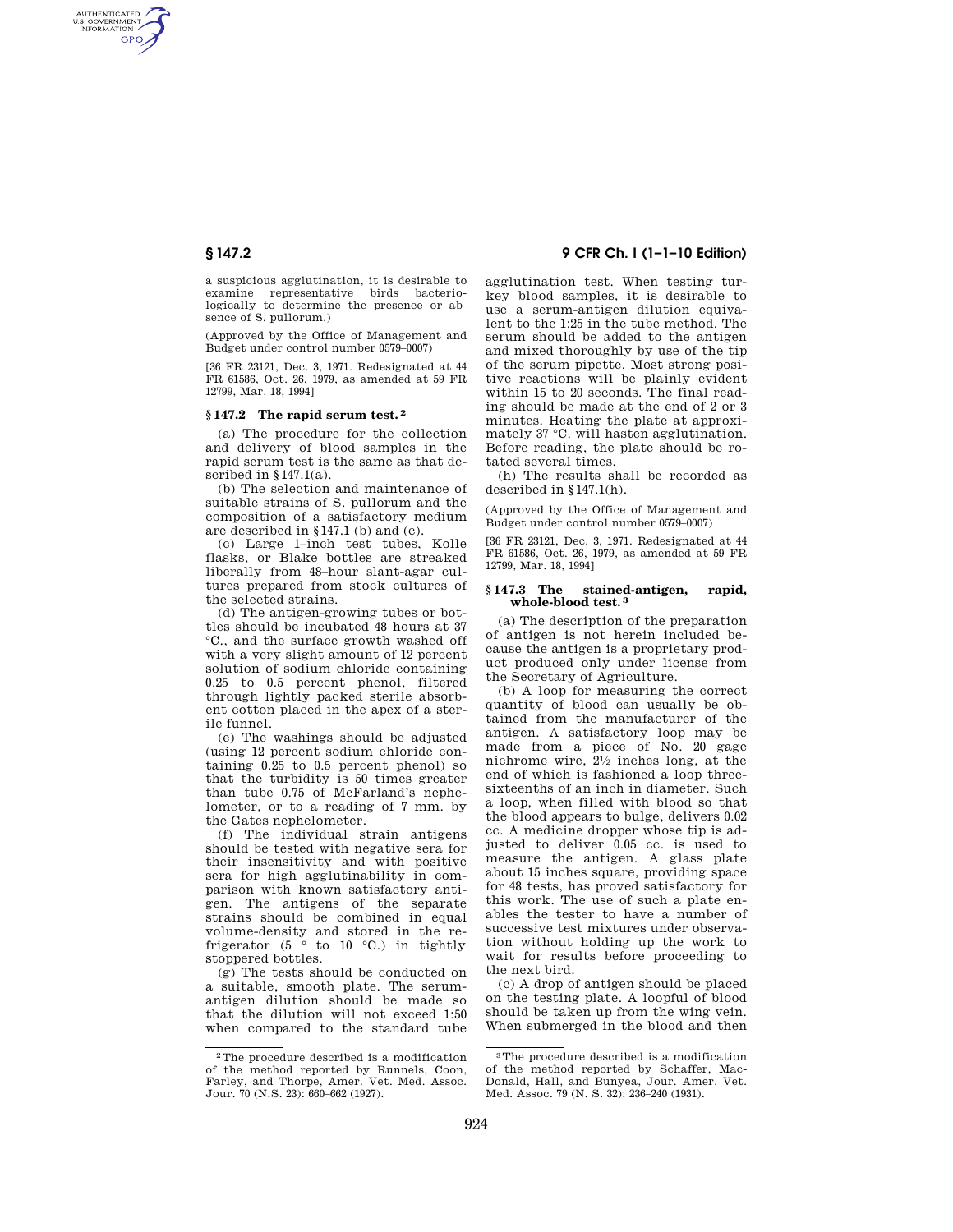AUTHENTICATED<br>U.S. GOVERNMENT<br>INFORMATION **GPO** 

> a suspicious agglutination, it is desirable to examine representative birds bacteriologically to determine the presence or absence of S. pullorum.)

> (Approved by the Office of Management and Budget under control number 0579–0007)

> [36 FR 23121, Dec. 3, 1971. Redesignated at 44 FR 61586, Oct. 26, 1979, as amended at 59 FR 12799, Mar. 18, 1994]

# **§ 147.2 The rapid serum test. 2**

(a) The procedure for the collection and delivery of blood samples in the rapid serum test is the same as that described in  $§147.1(a)$ .

(b) The selection and maintenance of suitable strains of S. pullorum and the composition of a satisfactory medium are described in §147.1 (b) and (c).

(c) Large 1–inch test tubes, Kolle flasks, or Blake bottles are streaked liberally from 48–hour slant-agar cultures prepared from stock cultures of the selected strains.

(d) The antigen-growing tubes or bottles should be incubated 48 hours at 37 °C., and the surface growth washed off with a very slight amount of 12 percent solution of sodium chloride containing 0.25 to 0.5 percent phenol, filtered through lightly packed sterile absorbent cotton placed in the apex of a sterile funnel.

(e) The washings should be adjusted (using 12 percent sodium chloride containing 0.25 to 0.5 percent phenol) so that the turbidity is 50 times greater than tube 0.75 of McFarland's nephelometer, or to a reading of 7 mm. by the Gates nephelometer.

(f) The individual strain antigens should be tested with negative sera for their insensitivity and with positive sera for high agglutinability in comparison with known satisfactory antigen. The antigens of the separate strains should be combined in equal volume-density and stored in the refrigerator (5  $\degree$  to 10  $\degree$ C.) in tightly stoppered bottles.

(g) The tests should be conducted on a suitable, smooth plate. The serumantigen dilution should be made so that the dilution will not exceed 1:50 when compared to the standard tube

# **§ 147.2 9 CFR Ch. I (1–1–10 Edition)**

agglutination test. When testing turkey blood samples, it is desirable to use a serum-antigen dilution equivalent to the 1:25 in the tube method. The serum should be added to the antigen and mixed thoroughly by use of the tip of the serum pipette. Most strong positive reactions will be plainly evident within 15 to 20 seconds. The final reading should be made at the end of 2 or 3 minutes. Heating the plate at approximately 37 °C. will hasten agglutination. Before reading, the plate should be rotated several times.

(h) The results shall be recorded as described in §147.1(h).

(Approved by the Office of Management and Budget under control number 0579–0007)

[36 FR 23121, Dec. 3, 1971. Redesignated at 44 FR 61586, Oct. 26, 1979, as amended at 59 FR 12799, Mar. 18, 1994]

### **§ 147.3 The stained-antigen, rapid, whole-blood test. 3**

(a) The description of the preparation of antigen is not herein included because the antigen is a proprietary product produced only under license from the Secretary of Agriculture.

(b) A loop for measuring the correct quantity of blood can usually be obtained from the manufacturer of the antigen. A satisfactory loop may be made from a piece of No. 20 gage nichrome wire, 21⁄2 inches long, at the end of which is fashioned a loop threesixteenths of an inch in diameter. Such a loop, when filled with blood so that the blood appears to bulge, delivers 0.02 cc. A medicine dropper whose tip is adjusted to deliver 0.05 cc. is used to measure the antigen. A glass plate about 15 inches square, providing space for 48 tests, has proved satisfactory for this work. The use of such a plate enables the tester to have a number of successive test mixtures under observation without holding up the work to wait for results before proceeding to the next bird.

(c) A drop of antigen should be placed on the testing plate. A loopful of blood should be taken up from the wing vein. When submerged in the blood and then

<sup>2</sup>The procedure described is a modification of the method reported by Runnels, Coon, Farley, and Thorpe, Amer. Vet. Med. Assoc. Jour. 70 (N.S. 23): 660–662 (1927).

<sup>3</sup>The procedure described is a modification of the method reported by Schaffer, Mac-Donald, Hall, and Bunyea, Jour. Amer. Vet. Med. Assoc. 79 (N. S. 32): 236–240 (1931).